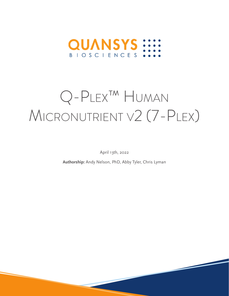

# Q-Plex™ Human Micronutrient v2 (7-Plex)

April 13th, 2022

**Authorship:** Andy Nelson, PhD, Abby Tyler, Chris Lyman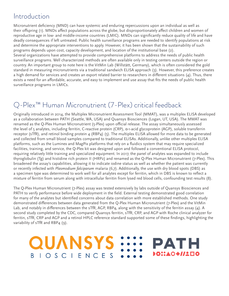## Introduction

Micronutrient deficiency (MND) can have systemic and enduring repercussions upon an individual as well as their offspring (1). MNDs affect populations across the globe, but disproportionately affect children and women of reproductive age in low- and middle-income countries (LMIC). MNDs can significantly reduce quality of life and have deadly consequences if left untreated. Public health surveillance programs are needed to identify populations at risk and determine the appropriate interventions to apply. However, it has been shown that the sustainability of such programs depends upon cost, capacity development, and location of the institutional base (2).

Several organizations have attempted to provide comprehensive platforms to address the needs of public health surveillance programs. Well characterized methods are often available only in testing centers outside the region or country. An important group to note here is the VitMin Lab (Willstätt, Germany), which is often considered the gold standard in measuring micronutrients via a traditional sandwich ELISA approach (3). However, this preference creates a high demand for services and creates an export related barrier to researchers in different situations (4). Thus, there exists a need for an affordable, accurate, and easy to implement and use assay that fits the needs of public health surveillance programs in LMICs.

## Q-Plex<sup>™</sup> Human Micronutrient (7-Plex) critical feedback

Originally introduced in 2014, the Multiplex Micronutrient Assessment Tool (MMAT), was a multiplex ELISA developed as a collaboration between PATH (Seattle, WA, USA) and Quansys Biosciences (Logan, UT, USA). The MMAT was renamed as the Q-Plex Human Micronutrient (5-Plex) upon official release. The assay simultaneously assessed the level of 5 analytes, including ferritin, C-reactive protein (CRP), α-1-acid glycoprotein (AGP), soluble transferrin receptor (sTfR), and retinol binding protein 4 (RBP4) (5). The multiplex ELISA allowed for more data to be generated and collected from small blood samples compared to traditional ELISAs. Additionally, unlike other multiplex ELISA platforms, such as the Luminex and MagPix platforms that rely on a fluidics system that may require specialized facilities, training, and service, the Q-Plex kit was designed upon and followed a conventional ELISA protocol, requiring relatively little training and specialized equipment. In 2017, the panel of analytes was expanded to include thyroglobulin (Tg) and histidine rich protein II (HRP2) and renamed as the Q-Plex Human Micronutrient (7-Plex). This broadened the assay's capabilities, allowing it to indicate iodine status as well as whether the patient was currently or recently infected with *Plasmodium falciparum* malaria (6,7). Additionally, the use with dry blood spots (DBS) as a specimen type was determined to work well for all analytes except for ferritin, which in DBS is known to reflect a mixture of ferritin from serum along with intracellular ferritin from lysed red blood cells, confounding test results (8).

The Q-Plex Human Micronutrient (7-Plex) assay was tested extensively by labs outside of Quansys Biosciences and PATH to verify performance before wide deployment in the field. External testing demonstrated good correlation for many of the analytes but identified concerns about data correlation with more established methods. One study demonstrated differences between data generated from the Q-Plex Human Micronutrient (7-Plex) and the VitMin Lab, and notably in differences between the sTfR, AGP, RBP4, along with the sensitivity of the ferritin assay (4). A second study completed by the CDC, compared Quansys ferritin, sTfR, CRP, and AGP with Roche clinical analyzer for ferritin, sTfR, CRP and AGP and a retinol HPLC reference standard supported some of these findings, highlighting the variability of sTfR and RBP4 (9).

РАТН

0::A0*\$11*200

**QUANSYS** 

**BIOSCIENCES**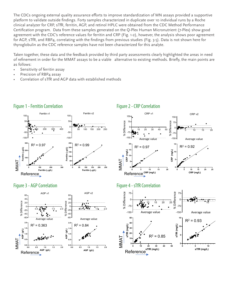The CDCs ongoing external quality assurance efforts to improve standardization of MN assays provided a supportive platform to validate outside findings. Forty samples characterized in duplicate over 10 individual runs by a Roche clinical analyzer for CRP, sTfR, ferritin, AGP, and retinol HPLC were obtained from the CDC Method Performance Certification program. Data from these samples generated on the Q-Plex Human Micronutrient (7-Plex) show good agreement with the CDC's reference values for ferritin and CRP (Fig. 1-2), however, the analysis shows poor agreement for AGP, sTfR, and RBP4, correlating with the findings from previous studies (Fig. 3-5). Data is not shown here for thyroglobulin as the CDC reference samples have not been characterized for this analyte.

Taken together, these data and the feedback provided by third party assessments clearly highlighted the areas in need of refinement in order for the MMAT assays to be a viable alternative to existing methods. Briefly, the main points are as follows:

- Sensitivity of ferritin assay
- Precision of RBP4 assay
- Correlation of sTfR and AGP data with established methods



### Figure 1 - Ferritin Correlation



### Figure 2 - CRP Correlation



#### Figure 3 - AGP Correlation **Figure 4** - strategies **Figure 4** - strategies **Figure 4** - strategies **Figure 4** - strategies **Figure 4** - strategies **Figure 4** - strategies **Figure 4** - strategies **Figure 4** - strategies **Fi**

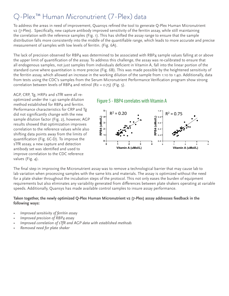## Q-Plex™ Human Micronutrient (7-Plex) data

To address the areas in need of improvement, Quansys refined the tool to generate Q-Plex Human Micronutrient v2 (7-Plex). Specifically, new capture antibody improved sensitivity of the ferritin assay, while still maintaining the correlation with the reference samples (Fig. 1). This has shifted the assay range to ensure that the sample distribution falls more consistently into the middle of the quantifiable range, which leads to more accurate and precise measurement of samples with low levels of ferritin. (Fig. 6A).

The lack of precision observed for RBP4 was determined to be associated with RBP4 sample values falling at or above the upper limit of quantification of the assay. To address this challenge, the assay was re-calibrated to ensure that all endogenous samples, not just samples from individuals deficient in Vitamin A, fall into the linear portion of the standard curve where quantitation is more precise (Fig. 6B). This was made possible by the heightened sensitivity of the ferritin assay, which allowed an increase in the working dilution of the sample from 1:10 to 1:40. Additionally, data from tests using the CDC's samples from the Serum Micronutrient Performance Verification program show strong correlation between levels of RBP4 and retinol  $(R2 = 0.75)$  (Fig. 5).

AGP, CRP, Tg, HRP2 and sTfR were all reoptimized under the 1:40 sample dilution method established for RBP4 and ferritin. Performance characteristics for CRP and Tg did not significantly change with the new sample dilution factor (Fig. 2), however, AGP results showed that optimization improves correlation to the reference values while also shifting data points away from the limits of quantification (Fig. 6C-D). To improve the sTfR assay, a new capture and detection antibody set was identified and used to improve correlation to the CDC reference values (Fig. 4).

#### Figure 5 - RBP4 correlates with Vitamin A



The final step in improving the Micronutrient assay was to remove a technological barrier that may cause lab to lab variation when processing samples with the same kits and materials. The assay is optimized without the need for a plate shaker throughout the incubation steps of the protocol. This not only eases the burden of equipment requirements but also eliminates any variability generated from differences between plate shakers operating at variable speeds. Additionally, Quansys has made available control samples to insure assay performance.

#### **Taken together, the newly optimized Q-Plex Human Micronutrient v2 (7-Plex) assay addresses feedback in the following ways:**

- *• Improved sensitivity of ferritin assay*
- *• Improved precision of RBP4 assay*
- *• Improved correlation of sTfR and AGP data with established methods*
- *• Removed need for plate shaker*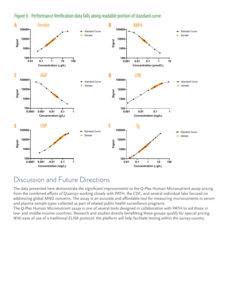



## Discussion and Future Directions

The data presented here demonstrate the significant improvements to the Q-Plex Human Micronutrient assay arising from the combined efforts of Quansys working closely with PATH, the CDC, and several individual labs focused on addressing global MND concerns. The assay is an accurate and affordable tool for measuring micronutrients in serum and plasma sample types collected as part of related public health surveillance programs.

The Q-Plex Human Micronutrient assay is one of several tools designed in collaboration with PATH to aid those in low- and middle-income countries. Research and studies directly benefitting these groups qualify for special pricing. With ease of use of a traditional ELISA protocol, the platform will help facilitate testing within the survey country.